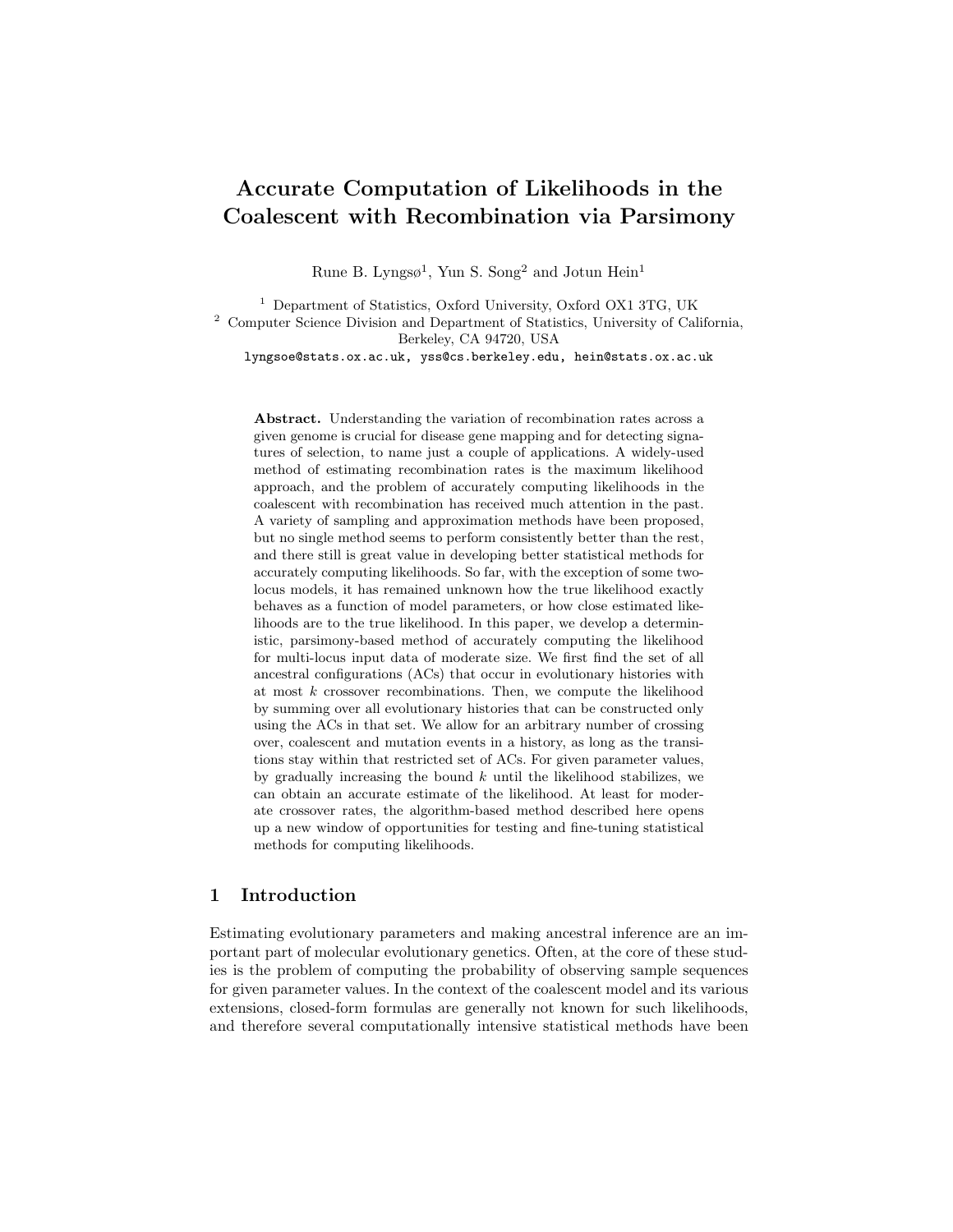# Accurate Computation of Likelihoods in the Coalescent with Recombination via Parsimony

Rune B. Lyngs $\varphi^1$ , Yun S. Song<sup>2</sup> and Jotun Hein<sup>1</sup>

<sup>1</sup> Department of Statistics, Oxford University, Oxford OX1 3TG, UK <sup>2</sup> Computer Science Division and Department of Statistics, University of California, Berkeley, CA 94720, USA

lyngsoe@stats.ox.ac.uk, yss@cs.berkeley.edu, hein@stats.ox.ac.uk

Abstract. Understanding the variation of recombination rates across a given genome is crucial for disease gene mapping and for detecting signatures of selection, to name just a couple of applications. A widely-used method of estimating recombination rates is the maximum likelihood approach, and the problem of accurately computing likelihoods in the coalescent with recombination has received much attention in the past. A variety of sampling and approximation methods have been proposed, but no single method seems to perform consistently better than the rest, and there still is great value in developing better statistical methods for accurately computing likelihoods. So far, with the exception of some twolocus models, it has remained unknown how the true likelihood exactly behaves as a function of model parameters, or how close estimated likelihoods are to the true likelihood. In this paper, we develop a deterministic, parsimony-based method of accurately computing the likelihood for multi-locus input data of moderate size. We first find the set of all ancestral configurations (ACs) that occur in evolutionary histories with at most  $k$  crossover recombinations. Then, we compute the likelihood by summing over all evolutionary histories that can be constructed only using the ACs in that set. We allow for an arbitrary number of crossing over, coalescent and mutation events in a history, as long as the transitions stay within that restricted set of ACs. For given parameter values, by gradually increasing the bound  $k$  until the likelihood stabilizes, we can obtain an accurate estimate of the likelihood. At least for moderate crossover rates, the algorithm-based method described here opens up a new window of opportunities for testing and fine-tuning statistical methods for computing likelihoods.

# 1 Introduction

Estimating evolutionary parameters and making ancestral inference are an important part of molecular evolutionary genetics. Often, at the core of these studies is the problem of computing the probability of observing sample sequences for given parameter values. In the context of the coalescent model and its various extensions, closed-form formulas are generally not known for such likelihoods, and therefore several computationally intensive statistical methods have been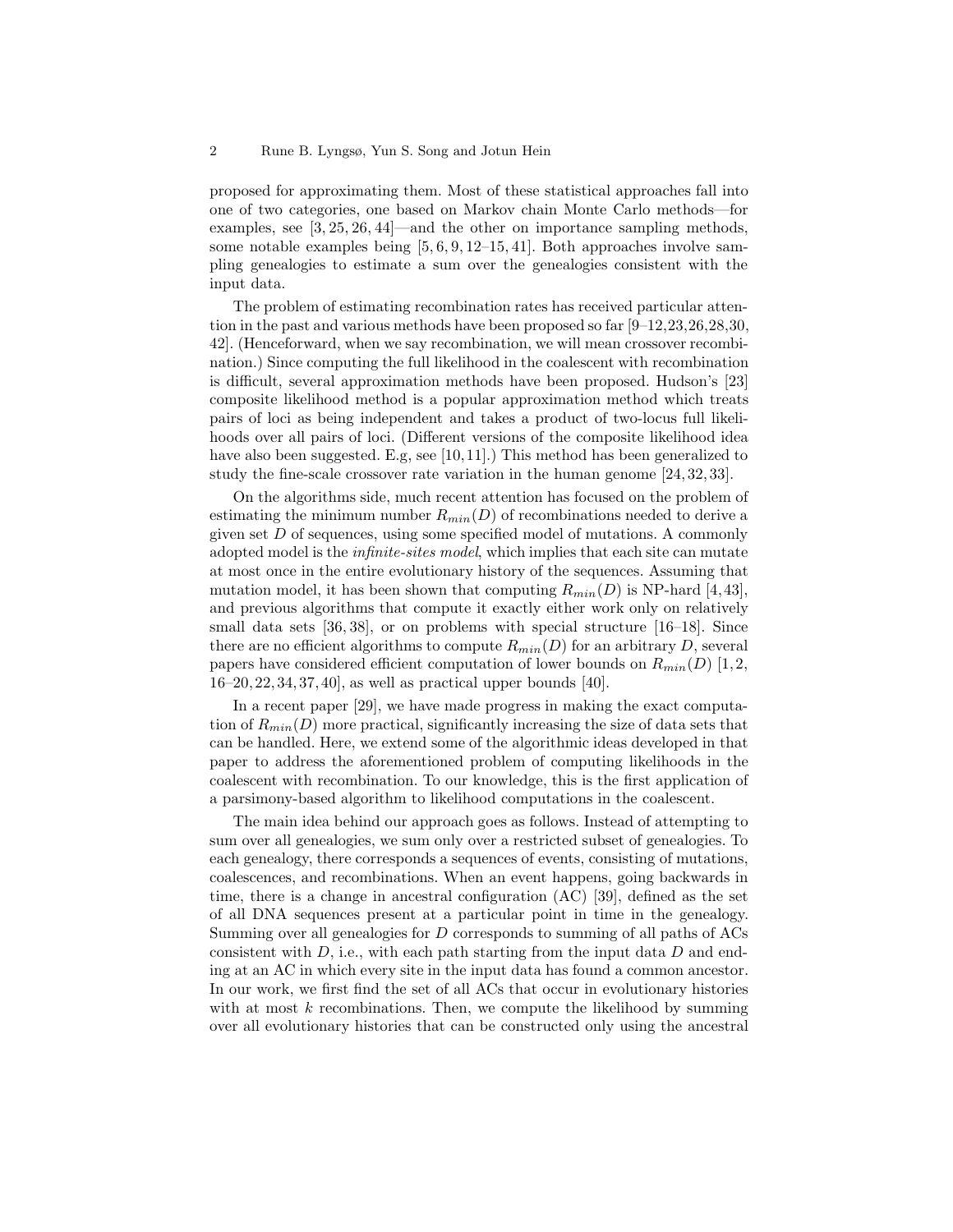#### 2 Rune B. Lyngsø, Yun S. Song and Jotun Hein

proposed for approximating them. Most of these statistical approaches fall into one of two categories, one based on Markov chain Monte Carlo methods—for examples, see [3, 25, 26, 44]—and the other on importance sampling methods, some notable examples being [5, 6, 9, 12–15, 41]. Both approaches involve sampling genealogies to estimate a sum over the genealogies consistent with the input data.

The problem of estimating recombination rates has received particular attention in the past and various methods have been proposed so far [9–12,23,26,28,30, 42]. (Henceforward, when we say recombination, we will mean crossover recombination.) Since computing the full likelihood in the coalescent with recombination is difficult, several approximation methods have been proposed. Hudson's [23] composite likelihood method is a popular approximation method which treats pairs of loci as being independent and takes a product of two-locus full likelihoods over all pairs of loci. (Different versions of the composite likelihood idea have also been suggested. E.g, see [10,11].) This method has been generalized to study the fine-scale crossover rate variation in the human genome [24, 32, 33].

On the algorithms side, much recent attention has focused on the problem of estimating the minimum number  $R_{min}(D)$  of recombinations needed to derive a given set  $D$  of sequences, using some specified model of mutations. A commonly adopted model is the *infinite-sites model*, which implies that each site can mutate at most once in the entire evolutionary history of the sequences. Assuming that mutation model, it has been shown that computing  $R_{min}(D)$  is NP-hard [4, 43], and previous algorithms that compute it exactly either work only on relatively small data sets [36, 38], or on problems with special structure [16–18]. Since there are no efficient algorithms to compute  $R_{min}(D)$  for an arbitrary D, several papers have considered efficient computation of lower bounds on  $R_{min}(D)$  [1,2, 16–20, 22, 34, 37, 40], as well as practical upper bounds [40].

In a recent paper [29], we have made progress in making the exact computation of  $R_{min}(D)$  more practical, significantly increasing the size of data sets that can be handled. Here, we extend some of the algorithmic ideas developed in that paper to address the aforementioned problem of computing likelihoods in the coalescent with recombination. To our knowledge, this is the first application of a parsimony-based algorithm to likelihood computations in the coalescent.

The main idea behind our approach goes as follows. Instead of attempting to sum over all genealogies, we sum only over a restricted subset of genealogies. To each genealogy, there corresponds a sequences of events, consisting of mutations, coalescences, and recombinations. When an event happens, going backwards in time, there is a change in ancestral configuration (AC) [39], defined as the set of all DNA sequences present at a particular point in time in the genealogy. Summing over all genealogies for D corresponds to summing of all paths of ACs consistent with  $D$ , i.e., with each path starting from the input data  $D$  and ending at an AC in which every site in the input data has found a common ancestor. In our work, we first find the set of all ACs that occur in evolutionary histories with at most  $k$  recombinations. Then, we compute the likelihood by summing over all evolutionary histories that can be constructed only using the ancestral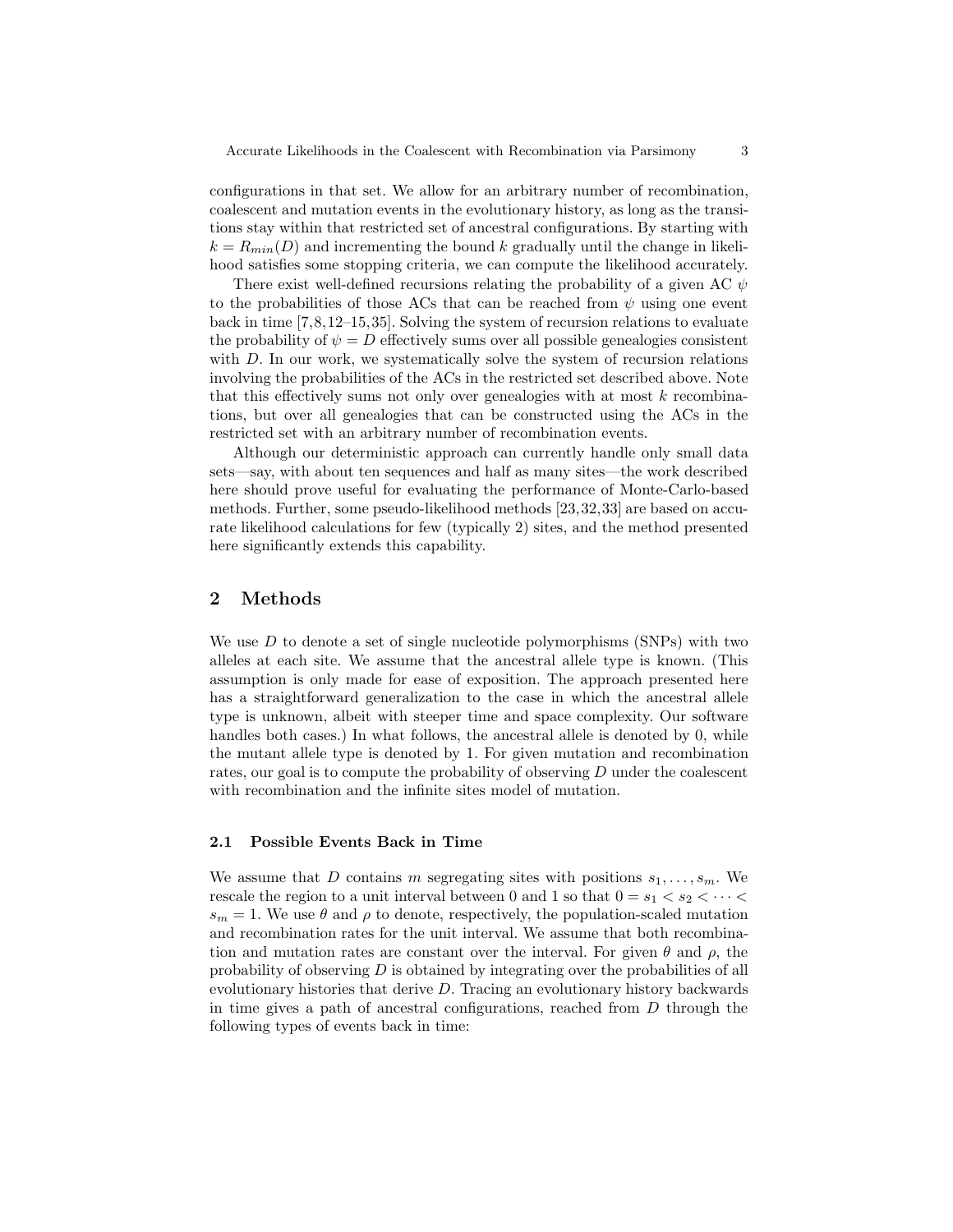configurations in that set. We allow for an arbitrary number of recombination, coalescent and mutation events in the evolutionary history, as long as the transitions stay within that restricted set of ancestral configurations. By starting with  $k = R_{min}(D)$  and incrementing the bound k gradually until the change in likelihood satisfies some stopping criteria, we can compute the likelihood accurately.

There exist well-defined recursions relating the probability of a given AC  $\psi$ to the probabilities of those ACs that can be reached from  $\psi$  using one event back in time [7,8,12–15,35]. Solving the system of recursion relations to evaluate the probability of  $\psi = D$  effectively sums over all possible genealogies consistent with D. In our work, we systematically solve the system of recursion relations involving the probabilities of the ACs in the restricted set described above. Note that this effectively sums not only over genealogies with at most  $k$  recombinations, but over all genealogies that can be constructed using the ACs in the restricted set with an arbitrary number of recombination events.

Although our deterministic approach can currently handle only small data sets—say, with about ten sequences and half as many sites—the work described here should prove useful for evaluating the performance of Monte-Carlo-based methods. Further, some pseudo-likelihood methods [23,32,33] are based on accurate likelihood calculations for few (typically 2) sites, and the method presented here significantly extends this capability.

# 2 Methods

We use  $D$  to denote a set of single nucleotide polymorphisms (SNPs) with two alleles at each site. We assume that the ancestral allele type is known. (This assumption is only made for ease of exposition. The approach presented here has a straightforward generalization to the case in which the ancestral allele type is unknown, albeit with steeper time and space complexity. Our software handles both cases.) In what follows, the ancestral allele is denoted by 0, while the mutant allele type is denoted by 1. For given mutation and recombination rates, our goal is to compute the probability of observing D under the coalescent with recombination and the infinite sites model of mutation.

### 2.1 Possible Events Back in Time

We assume that D contains m segregating sites with positions  $s_1, \ldots, s_m$ . We rescale the region to a unit interval between 0 and 1 so that  $0 = s_1 < s_2 < \cdots <$  $s_m = 1$ . We use  $\theta$  and  $\rho$  to denote, respectively, the population-scaled mutation and recombination rates for the unit interval. We assume that both recombination and mutation rates are constant over the interval. For given  $\theta$  and  $\rho$ , the probability of observing  $D$  is obtained by integrating over the probabilities of all evolutionary histories that derive D. Tracing an evolutionary history backwards in time gives a path of ancestral configurations, reached from  $D$  through the following types of events back in time: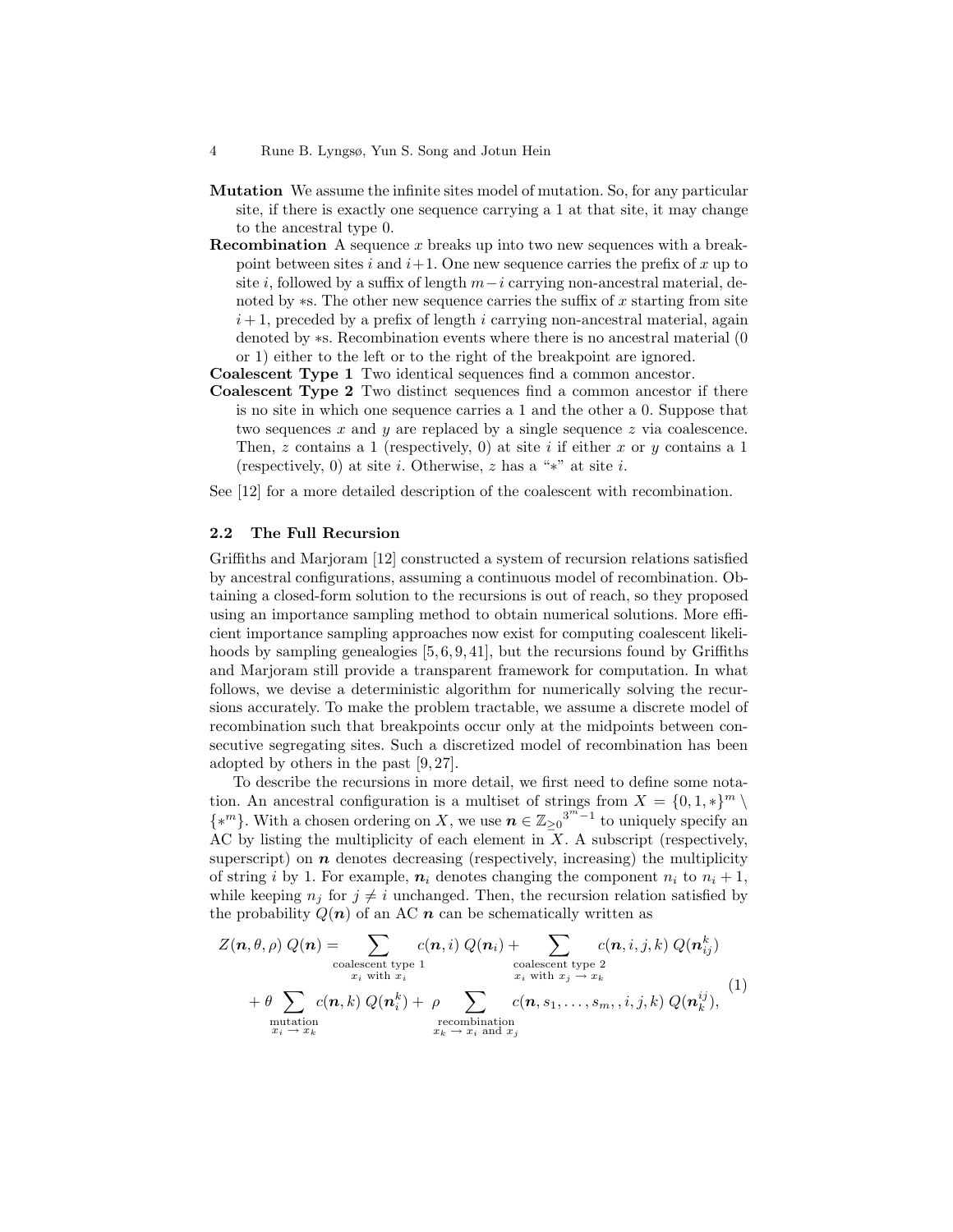- Mutation We assume the infinite sites model of mutation. So, for any particular site, if there is exactly one sequence carrying a 1 at that site, it may change to the ancestral type 0.
- **Recombination** A sequence  $x$  breaks up into two new sequences with a breakpoint between sites i and  $i+1$ . One new sequence carries the prefix of x up to site i, followed by a suffix of length  $m-i$  carrying non-ancestral material, denoted by ∗s. The other new sequence carries the suffix of x starting from site  $i+1$ , preceded by a prefix of length i carrying non-ancestral material, again denoted by ∗s. Recombination events where there is no ancestral material (0 or 1) either to the left or to the right of the breakpoint are ignored.
- Coalescent Type 1 Two identical sequences find a common ancestor.
- Coalescent Type 2 Two distinct sequences find a common ancestor if there is no site in which one sequence carries a 1 and the other a 0. Suppose that two sequences x and y are replaced by a single sequence z via coalescence. Then, z contains a 1 (respectively, 0) at site i if either x or y contains a 1 (respectively, 0) at site i. Otherwise, z has a "\*" at site i.
- See [12] for a more detailed description of the coalescent with recombination.

#### 2.2 The Full Recursion

Griffiths and Marjoram [12] constructed a system of recursion relations satisfied by ancestral configurations, assuming a continuous model of recombination. Obtaining a closed-form solution to the recursions is out of reach, so they proposed using an importance sampling method to obtain numerical solutions. More efficient importance sampling approaches now exist for computing coalescent likelihoods by sampling genealogies  $[5, 6, 9, 41]$ , but the recursions found by Griffiths and Marjoram still provide a transparent framework for computation. In what follows, we devise a deterministic algorithm for numerically solving the recursions accurately. To make the problem tractable, we assume a discrete model of recombination such that breakpoints occur only at the midpoints between consecutive segregating sites. Such a discretized model of recombination has been adopted by others in the past [9, 27].

To describe the recursions in more detail, we first need to define some notation. An ancestral configuration is a multiset of strings from  $X = \{0, 1, *\}^m \setminus$  $\{ \ast^m \}$ . With a chosen ordering on X, we use  $n \in \mathbb{Z}_{\geq 0}^{3^{m}-1}$  to uniquely specify an AC by listing the multiplicity of each element in  $X$ . A subscript (respectively, superscript) on  $n$  denotes decreasing (respectively, increasing) the multiplicity of string i by 1. For example,  $n_i$  denotes changing the component  $n_i$  to  $n_i + 1$ , while keeping  $n_i$  for  $j \neq i$  unchanged. Then, the recursion relation satisfied by the probability  $Q(n)$  of an AC n can be schematically written as

$$
Z(\boldsymbol{n},\theta,\rho) Q(\boldsymbol{n}) = \sum_{\substack{\text{coalescent type 1} \\ x_i \text{ with } x_i}} c(\boldsymbol{n},i) Q(\boldsymbol{n}_i) + \sum_{\substack{\text{coalescent type 2} \\ x_i \text{ with } x_j \to x_k}} c(\boldsymbol{n},i,j,k) Q(\boldsymbol{n}_i^k) + \theta \sum_{\substack{x_i \text{ with } x_j \to x_k \\ x_i \to x_k}} c(\boldsymbol{n},k) Q(\boldsymbol{n}_i^k) + \rho \sum_{\substack{\text{recombination} \\ x_k \to x_i \text{ and } x_j}} c(\boldsymbol{n},s_1,\ldots,s_m,,i,j,k) Q(\boldsymbol{n}_k^{ij}),
$$
(1)

<sup>4</sup> Rune B. Lyngsø, Yun S. Song and Jotun Hein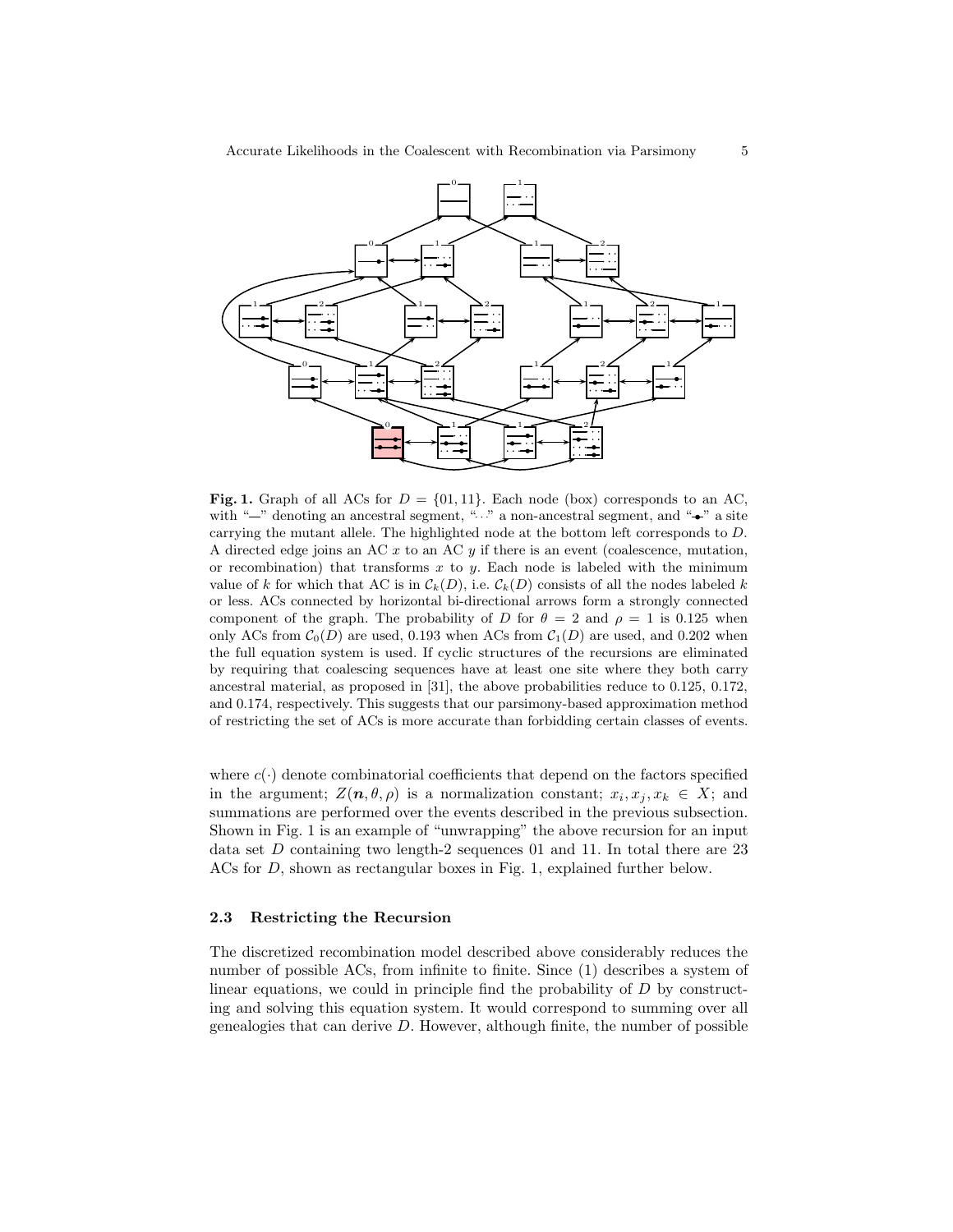

Fig. 1. Graph of all ACs for  $D = \{01, 11\}$ . Each node (box) corresponds to an AC, with " $"$  denoting an ancestral segment, " $"$  a non-ancestral segment, and " $\bullet$ " a site carrying the mutant allele. The highlighted node at the bottom left corresponds to D. A directed edge joins an AC  $x$  to an AC  $y$  if there is an event (coalescence, mutation, or recombination) that transforms  $x$  to  $y$ . Each node is labeled with the minimum value of k for which that AC is in  $\mathcal{C}_k(D)$ , i.e.  $\mathcal{C}_k(D)$  consists of all the nodes labeled k or less. ACs connected by horizontal bi-directional arrows form a strongly connected component of the graph. The probability of D for  $\theta = 2$  and  $\rho = 1$  is 0.125 when only ACs from  $C_0(D)$  are used, 0.193 when ACs from  $C_1(D)$  are used, and 0.202 when the full equation system is used. If cyclic structures of the recursions are eliminated by requiring that coalescing sequences have at least one site where they both carry ancestral material, as proposed in [31], the above probabilities reduce to 0.125, 0.172, and 0.174, respectively. This suggests that our parsimony-based approximation method of restricting the set of ACs is more accurate than forbidding certain classes of events.

where  $c(\cdot)$  denote combinatorial coefficients that depend on the factors specified in the argument;  $Z(n, \theta, \rho)$  is a normalization constant;  $x_i, x_j, x_k \in X$ ; and summations are performed over the events described in the previous subsection. Shown in Fig. 1 is an example of "unwrapping" the above recursion for an input data set D containing two length-2 sequences 01 and 11. In total there are 23 ACs for D, shown as rectangular boxes in Fig. 1, explained further below.

## 2.3 Restricting the Recursion

The discretized recombination model described above considerably reduces the number of possible ACs, from infinite to finite. Since  $(1)$  describes a system of linear equations, we could in principle find the probability of  $D$  by constructing and solving this equation system. It would correspond to summing over all genealogies that can derive  $D$ . However, although finite, the number of possible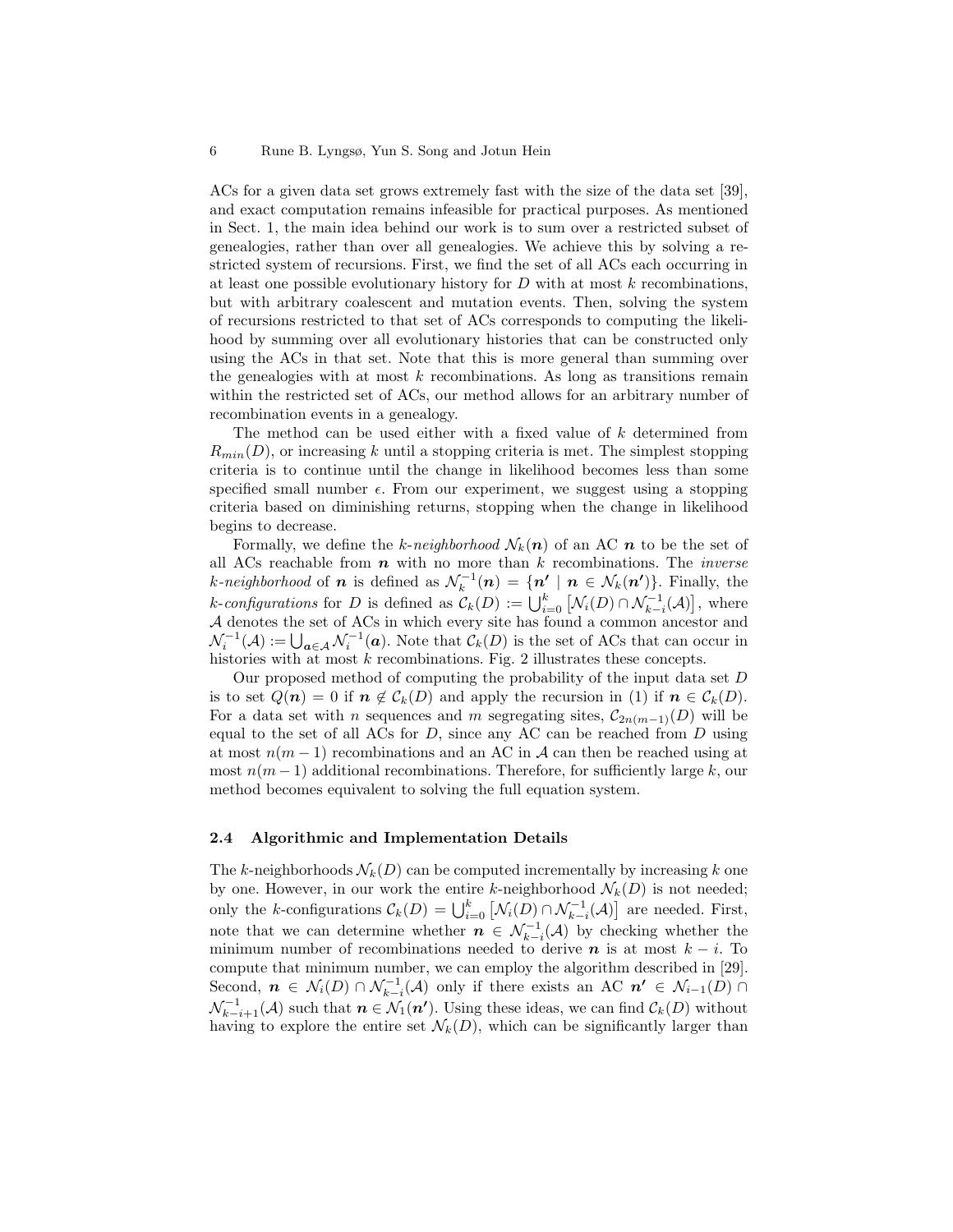ACs for a given data set grows extremely fast with the size of the data set [39], and exact computation remains infeasible for practical purposes. As mentioned in Sect. 1, the main idea behind our work is to sum over a restricted subset of genealogies, rather than over all genealogies. We achieve this by solving a restricted system of recursions. First, we find the set of all ACs each occurring in at least one possible evolutionary history for  $D$  with at most  $k$  recombinations, but with arbitrary coalescent and mutation events. Then, solving the system of recursions restricted to that set of ACs corresponds to computing the likelihood by summing over all evolutionary histories that can be constructed only using the ACs in that set. Note that this is more general than summing over the genealogies with at most  $k$  recombinations. As long as transitions remain within the restricted set of ACs, our method allows for an arbitrary number of recombination events in a genealogy.

The method can be used either with a fixed value of k determined from  $R_{min}(D)$ , or increasing k until a stopping criteria is met. The simplest stopping criteria is to continue until the change in likelihood becomes less than some specified small number  $\epsilon$ . From our experiment, we suggest using a stopping criteria based on diminishing returns, stopping when the change in likelihood begins to decrease.

Formally, we define the k-neighborhood  $\mathcal{N}_k(n)$  of an AC n to be the set of all ACs reachable from  $n$  with no more than k recombinations. The *inverse* k-neighborhood of **n** is defined as  $\mathcal{N}_k^{-1}(n) = \{n' \mid n \in \mathcal{N}_k(n')\}$ . Finally, the k-configurations for D is defined as  $\mathcal{C}_k(D) := \bigcup_{i=0}^k \left[ \mathcal{N}_i(D) \cap \mathcal{N}_{k-i}^{-1}(\mathcal{A}) \right],$  where A denotes the set of ACs in which every site has found a common ancestor and  $\mathcal{N}_i^{-1}(\mathcal{A}) := \bigcup_{\mathbf{a}\in\mathcal{A}} \mathcal{N}_i^{-1}(\mathbf{a})$ . Note that  $\mathcal{C}_k(D)$  is the set of ACs that can occur in histories with at most  $k$  recombinations. Fig. 2 illustrates these concepts.

Our proposed method of computing the probability of the input data set D is to set  $Q(n) = 0$  if  $n \notin C_k(D)$  and apply the recursion in (1) if  $n \in C_k(D)$ . For a data set with n sequences and m segregating sites,  $C_{2n(m-1)}(D)$  will be equal to the set of all ACs for  $D$ , since any AC can be reached from  $D$  using at most  $n(m-1)$  recombinations and an AC in A can then be reached using at most  $n(m-1)$  additional recombinations. Therefore, for sufficiently large k, our method becomes equivalent to solving the full equation system.

### 2.4 Algorithmic and Implementation Details

The k-neighborhoods  $\mathcal{N}_k(D)$  can be computed incrementally by increasing k one by one. However, in our work the entire k-neighborhood  $\mathcal{N}_k(D)$  is not needed; only the k-configurations  $\mathcal{C}_k(D) = \bigcup_{i=0}^k \left[ \mathcal{N}_i(D) \cap \mathcal{N}_{k-i}^{-1}(\mathcal{A}) \right]$  are needed. First, note that we can determine whether  $n \in \mathcal{N}_{k-i}^{-1}(\mathcal{A})$  by checking whether the minimum number of recombinations needed to derive  $n$  is at most  $k - i$ . To compute that minimum number, we can employ the algorithm described in [29]. Second,  $n \in \mathcal{N}_i(D) \cap \mathcal{N}_{k-i}^{-1}(\mathcal{A})$  only if there exists an AC  $n' \in \mathcal{N}_{i-1}(D) \cap$  $\mathcal{N}_{k-i+1}^{-1}(\mathcal{A})$  such that  $n \in \mathcal{N}_1(n')$ . Using these ideas, we can find  $\mathcal{C}_k(D)$  without having to explore the entire set  $\mathcal{N}_k(D)$ , which can be significantly larger than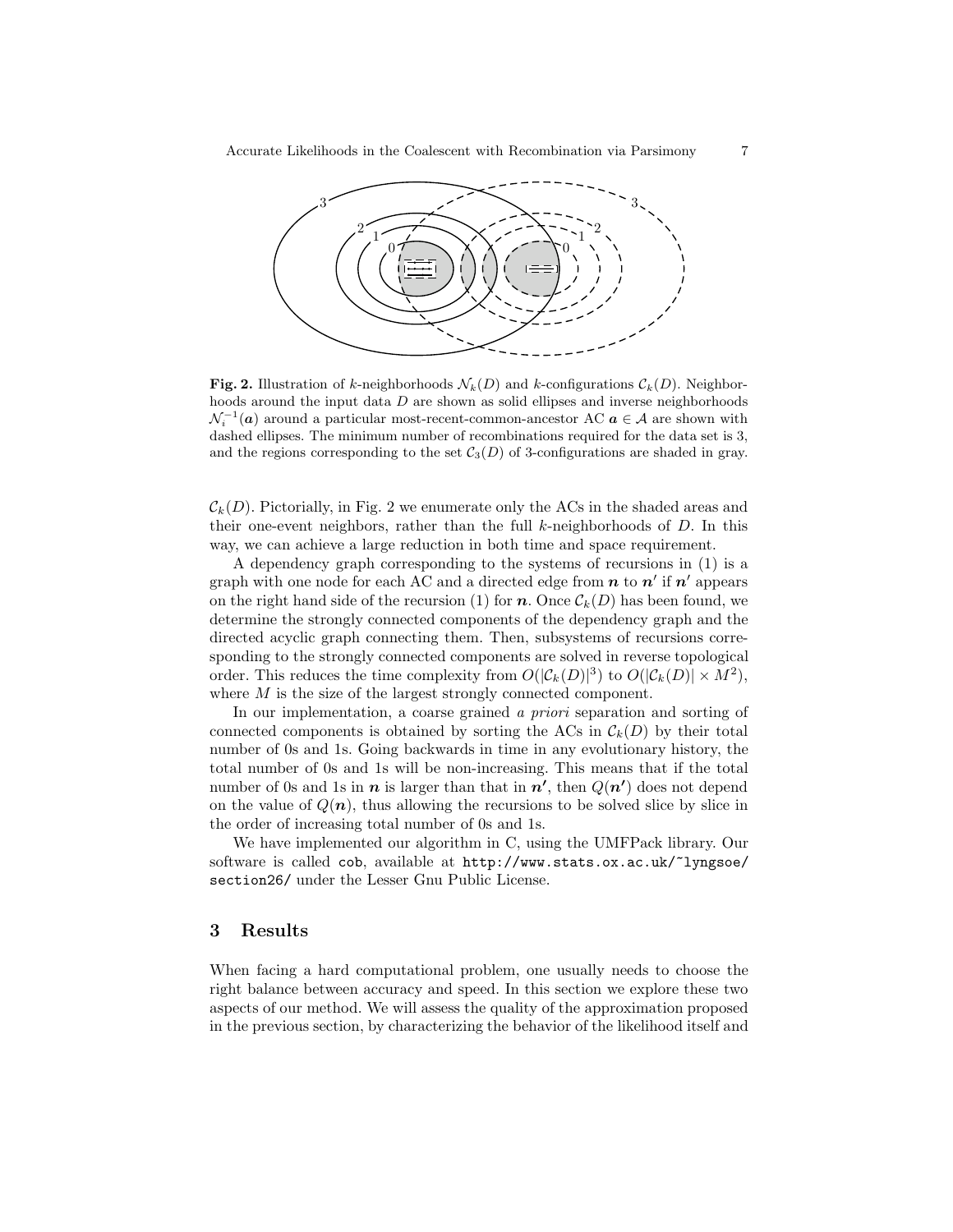

Fig. 2. Illustration of k-neighborhoods  $\mathcal{N}_k(D)$  and k-configurations  $\mathcal{C}_k(D)$ . Neighborhoods around the input data  $D$  are shown as solid ellipses and inverse neighborhoods  $\mathcal{N}_i^{-1}(\boldsymbol{a})$  around a particular most-recent-common-ancestor AC  $\boldsymbol{a} \in \mathcal{A}$  are shown with dashed ellipses. The minimum number of recombinations required for the data set is 3, and the regions corresponding to the set  $C_3(D)$  of 3-configurations are shaded in gray.

 $\mathcal{C}_k(D)$ . Pictorially, in Fig. 2 we enumerate only the ACs in the shaded areas and their one-event neighbors, rather than the full  $k$ -neighborhoods of  $D$ . In this way, we can achieve a large reduction in both time and space requirement.

A dependency graph corresponding to the systems of recursions in (1) is a graph with one node for each AC and a directed edge from  $n \text{ to } n'$  if  $n'$  appears on the right hand side of the recursion (1) for **n**. Once  $\mathcal{C}_k(D)$  has been found, we determine the strongly connected components of the dependency graph and the directed acyclic graph connecting them. Then, subsystems of recursions corresponding to the strongly connected components are solved in reverse topological order. This reduces the time complexity from  $O(|\mathcal{C}_k(D)|^3)$  to  $O(|\mathcal{C}_k(D)| \times M^2)$ , where M is the size of the largest strongly connected component.

In our implementation, a coarse grained a priori separation and sorting of connected components is obtained by sorting the ACs in  $\mathcal{C}_k(D)$  by their total number of 0s and 1s. Going backwards in time in any evolutionary history, the total number of 0s and 1s will be non-increasing. This means that if the total number of 0s and 1s in  $n$  is larger than that in  $n'$ , then  $Q(n')$  does not depend on the value of  $Q(n)$ , thus allowing the recursions to be solved slice by slice in the order of increasing total number of 0s and 1s.

We have implemented our algorithm in C, using the UMFPack library. Our software is called cob, available at http://www.stats.ox.ac.uk/~lyngsoe/ section26/ under the Lesser Gnu Public License.

# 3 Results

When facing a hard computational problem, one usually needs to choose the right balance between accuracy and speed. In this section we explore these two aspects of our method. We will assess the quality of the approximation proposed in the previous section, by characterizing the behavior of the likelihood itself and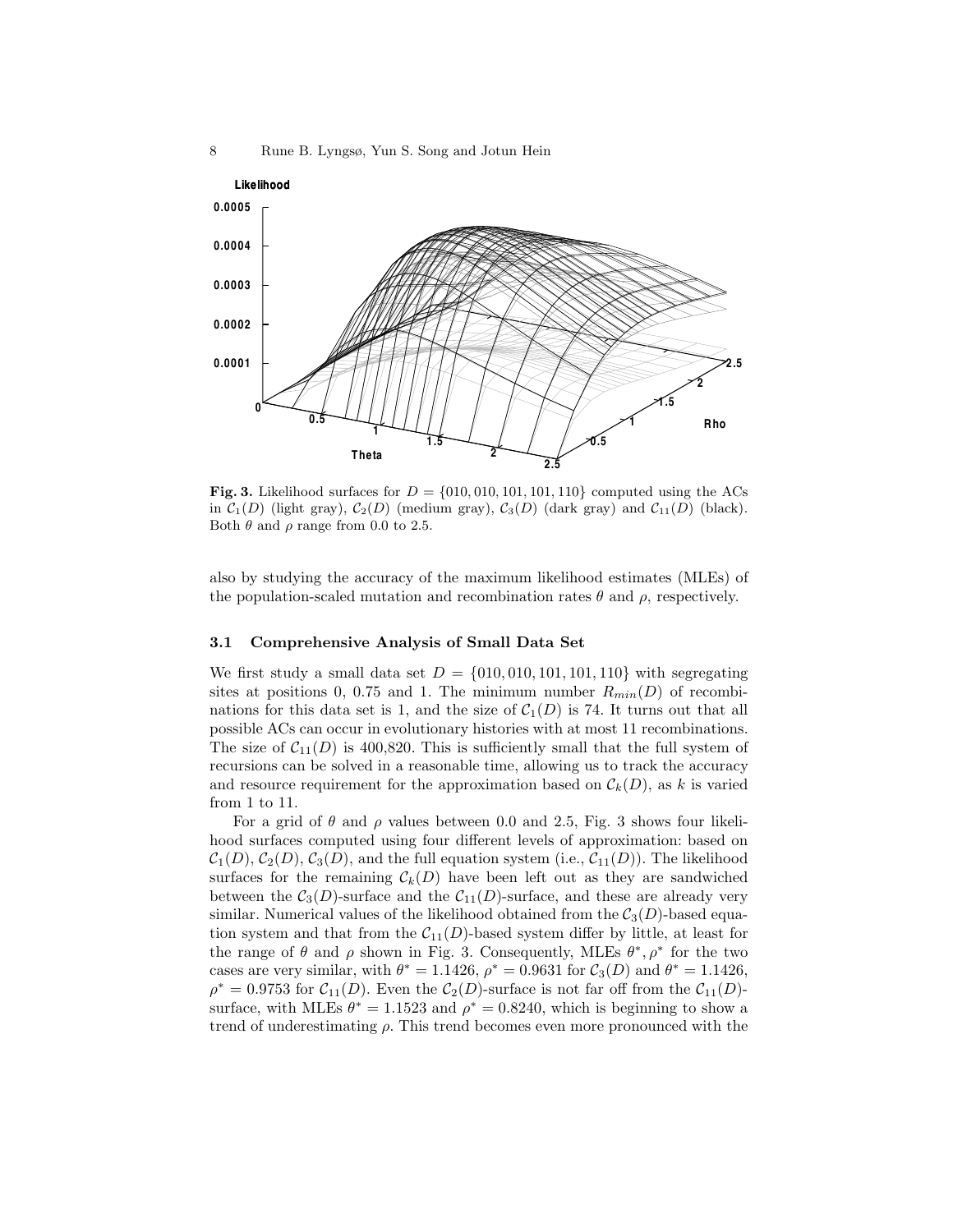

Fig. 3. Likelihood surfaces for  $D = \{010, 010, 101, 101, 110\}$  computed using the ACs in  $C_1(D)$  (light gray),  $C_2(D)$  (medium gray),  $C_3(D)$  (dark gray) and  $C_{11}(D)$  (black). Both  $\theta$  and  $\rho$  range from 0.0 to 2.5.

also by studying the accuracy of the maximum likelihood estimates (MLEs) of the population-scaled mutation and recombination rates  $\theta$  and  $\rho$ , respectively.

#### 3.1 Comprehensive Analysis of Small Data Set

We first study a small data set  $D = \{0.010, 0.010, 101, 110\}$  with segregating sites at positions 0, 0.75 and 1. The minimum number  $R_{min}(D)$  of recombinations for this data set is 1, and the size of  $C_1(D)$  is 74. It turns out that all possible ACs can occur in evolutionary histories with at most 11 recombinations. The size of  $C_{11}(D)$  is 400,820. This is sufficiently small that the full system of recursions can be solved in a reasonable time, allowing us to track the accuracy and resource requirement for the approximation based on  $\mathcal{C}_k(D)$ , as k is varied from 1 to 11.

For a grid of  $\theta$  and  $\rho$  values between 0.0 and 2.5, Fig. 3 shows four likelihood surfaces computed using four different levels of approximation: based on  $C_1(D), C_2(D), C_3(D)$ , and the full equation system (i.e.,  $C_{11}(D)$ ). The likelihood surfaces for the remaining  $\mathcal{C}_k(D)$  have been left out as they are sandwiched between the  $C_3(D)$ -surface and the  $C_{11}(D)$ -surface, and these are already very similar. Numerical values of the likelihood obtained from the  $C_3(D)$ -based equation system and that from the  $C_{11}(D)$ -based system differ by little, at least for the range of  $\theta$  and  $\rho$  shown in Fig. 3. Consequently, MLEs  $\theta^*, \rho^*$  for the two cases are very similar, with  $\theta^* = 1.1426$ ,  $\rho^* = 0.9631$  for  $C_3(D)$  and  $\theta^* = 1.1426$ ,  $\rho^* = 0.9753$  for  $C_{11}(D)$ . Even the  $C_2(D)$ -surface is not far off from the  $C_{11}(D)$ surface, with MLEs  $\theta^* = 1.1523$  and  $\rho^* = 0.8240$ , which is beginning to show a trend of underestimating  $\rho$ . This trend becomes even more pronounced with the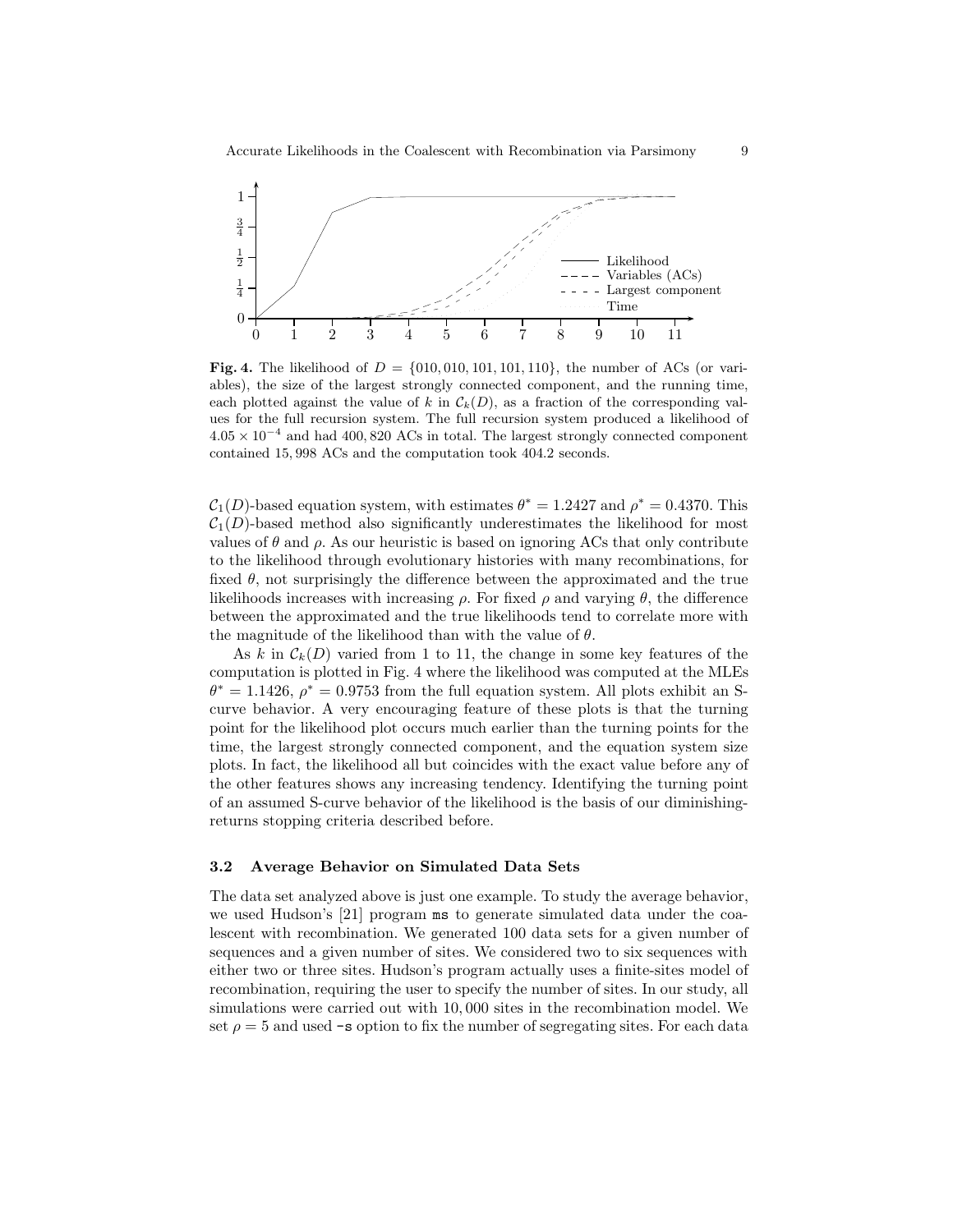

**Fig. 4.** The likelihood of  $D = \{010, 010, 101, 101, 110\}$ , the number of ACs (or variables), the size of the largest strongly connected component, and the running time, each plotted against the value of k in  $\mathcal{C}_k(D)$ , as a fraction of the corresponding values for the full recursion system. The full recursion system produced a likelihood of  $4.05 \times 10^{-4}$  and had 400,820 ACs in total. The largest strongly connected component contained 15, 998 ACs and the computation took 404.2 seconds.

 $C_1(D)$ -based equation system, with estimates  $\theta^* = 1.2427$  and  $\rho^* = 0.4370$ . This  $C_1(D)$ -based method also significantly underestimates the likelihood for most values of  $\theta$  and  $\rho$ . As our heuristic is based on ignoring ACs that only contribute to the likelihood through evolutionary histories with many recombinations, for fixed  $\theta$ , not surprisingly the difference between the approximated and the true likelihoods increases with increasing  $\rho$ . For fixed  $\rho$  and varying  $\theta$ , the difference between the approximated and the true likelihoods tend to correlate more with the magnitude of the likelihood than with the value of  $\theta$ .

As k in  $\mathcal{C}_k(D)$  varied from 1 to 11, the change in some key features of the computation is plotted in Fig. 4 where the likelihood was computed at the MLEs  $\theta^* = 1.1426$ ,  $\rho^* = 0.9753$  from the full equation system. All plots exhibit an Scurve behavior. A very encouraging feature of these plots is that the turning point for the likelihood plot occurs much earlier than the turning points for the time, the largest strongly connected component, and the equation system size plots. In fact, the likelihood all but coincides with the exact value before any of the other features shows any increasing tendency. Identifying the turning point of an assumed S-curve behavior of the likelihood is the basis of our diminishingreturns stopping criteria described before.

#### 3.2 Average Behavior on Simulated Data Sets

The data set analyzed above is just one example. To study the average behavior, we used Hudson's [21] program ms to generate simulated data under the coalescent with recombination. We generated 100 data sets for a given number of sequences and a given number of sites. We considered two to six sequences with either two or three sites. Hudson's program actually uses a finite-sites model of recombination, requiring the user to specify the number of sites. In our study, all simulations were carried out with 10, 000 sites in the recombination model. We set  $\rho = 5$  and used  $-\infty$  option to fix the number of segregating sites. For each data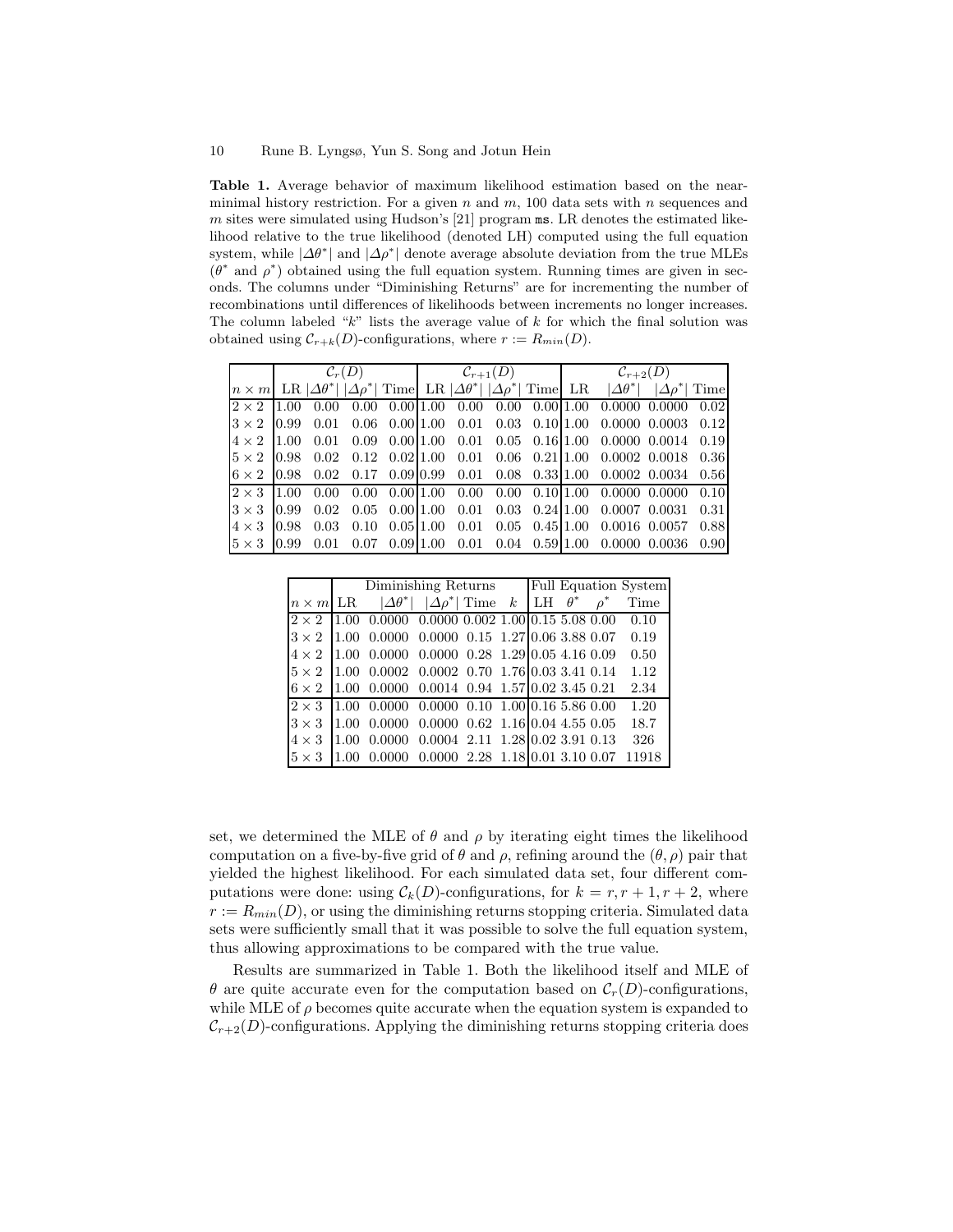Table 1. Average behavior of maximum likelihood estimation based on the nearminimal history restriction. For a given  $n$  and  $m$ , 100 data sets with  $n$  sequences and m sites were simulated using Hudson's [21] program ms. LR denotes the estimated likelihood relative to the true likelihood (denoted LH) computed using the full equation system, while  $|\Delta\theta^*|$  and  $|\Delta\rho^*|$  denote average absolute deviation from the true MLEs  $(\theta^*$  and  $\rho^*)$  obtained using the full equation system. Running times are given in seconds. The columns under "Diminishing Returns" are for incrementing the number of recombinations until differences of likelihoods between increments no longer increases. The column labeled " $k$ " lists the average value of k for which the final solution was obtained using  $C_{r+k}(D)$ -configurations, where  $r := R_{min}(D)$ .

|                    | $\mathcal{C}_r(D)$ |  |  | $\mathcal{C}_{r+1}(D)$ $\mathcal{C}_{r+2}(D)$ |  |  |  |  |  |                                                                                                                                                                                                                                                           |  |      |
|--------------------|--------------------|--|--|-----------------------------------------------|--|--|--|--|--|-----------------------------------------------------------------------------------------------------------------------------------------------------------------------------------------------------------------------------------------------------------|--|------|
|                    |                    |  |  |                                               |  |  |  |  |  | $n \times m$ LR $\Delta \theta^*$   $\Delta \rho^*$ Time LR $\Delta \theta^*$   $\Delta \rho^*$ Time LR $\Delta \theta^*$   $\Delta \rho^*$   Time                                                                                                        |  |      |
| $2 \times 2$ 11.00 |                    |  |  |                                               |  |  |  |  |  | $0.00$ $0.00$ $0.00$ $1.00$ $0.00$ $0.00$ $0.00$ $1.00$ $0.0000$ $0.0000$                                                                                                                                                                                 |  | 0.02 |
|                    |                    |  |  |                                               |  |  |  |  |  | $\left[3 \times 2\right]$ $\left[0.99\right]$ $\left[0.01\right]$ $\left[0.06\right]$ $\left[0.00\right]$ $\left[1.00\right]$ $\left[0.03\right]$ $\left[0.10\right]$ $\left[1.00\right]$ $\left[0.0000\right]$ $\left[0.0003\right]$ $\left[0.12\right]$ |  |      |
|                    |                    |  |  |                                               |  |  |  |  |  | $\left[4 \times 2 \right] 1.00 \left[0.01 \right] 0.09 \left[0.00\right] 1.00 \left[0.01 \right] 0.05 \left[0.16 \right] 1.00 \left[0.0000 \right] 0.0014 \left[0.19 \right]$                                                                             |  |      |
|                    |                    |  |  |                                               |  |  |  |  |  | $\begin{bmatrix} 5 \times 2 & 0.98 & 0.02 & 0.12 & 0.02 & 1.00 & 0.01 & 0.06 & 0.21 & 1.00 & 0.0002 & 0.0018 & 0.36 \end{bmatrix}$                                                                                                                        |  |      |
|                    |                    |  |  |                                               |  |  |  |  |  | $6 \times 2$ 0.98 0.02 0.17 0.09 0.99 0.01 0.08 0.33 1.00 0.0002 0.0034 0.56                                                                                                                                                                              |  |      |
| $2 \times 3$ 11.00 |                    |  |  |                                               |  |  |  |  |  | $0.00 \quad 0.00 \quad 0.0011.00 \quad 0.00 \quad 0.00 \quad 0.1011.00 \quad 0.0000 \quad 0.0000$                                                                                                                                                         |  | 0.10 |
| $3 \times 3$       | 10.99              |  |  |                                               |  |  |  |  |  | $0.02 \quad 0.05 \quad 0.00 \mid 1.00 \quad 0.01 \quad 0.03 \quad 0.24 \mid 1.00 \quad 0.0007 \quad 0.0031$                                                                                                                                               |  | 0.31 |
| $4 \times 3$ 0.98  |                    |  |  |                                               |  |  |  |  |  | $0.03$ $0.10$ $0.05 1.00$ $0.01$ $0.05$ $0.45 1.00$ $0.0016$ $0.0057$                                                                                                                                                                                     |  | 0.88 |
|                    |                    |  |  |                                               |  |  |  |  |  | $\left[5 \times 3\right]$ $\left[0.99\right]$ $\left[0.01\right]$ $\left[0.07\right]$ $\left[0.09\right]$ $\left[1.00\right]$ $\left[0.04\right]$ $\left[0.59\right]$ $\left[1.00\right]$ $\left[0.0000\right]$ $\left[0.0036\right]$ $\left[0.99\right]$ |  |      |

|                 |      | Diminishing Returns                                                                                 |                                            |  |                        | <b>Full Equation System</b> |       |
|-----------------|------|-----------------------------------------------------------------------------------------------------|--------------------------------------------|--|------------------------|-----------------------------|-------|
| $n \times m$ LR |      |                                                                                                     | $ \Delta\theta^* $ $ \Delta\rho^* $ Time k |  | LH $\theta^*$ $\rho^*$ |                             | Time  |
| $2 \times 2$    |      | $1.00 \quad 0.0000 \quad 0.0000 \quad 0.002 \quad 1.00 \quad 0.15 \quad 5.08 \quad 0.00 \quad 0.10$ |                                            |  |                        |                             |       |
|                 |      | $3 \times 2$ 1.00 0.0000 0.0000 0.15 1.27 0.06 3.88 0.07                                            |                                            |  |                        |                             | 0.19  |
| $4 \times 2$    |      | $[1.00 \quad 0.0000 \quad 0.0000 \quad 0.28 \quad 1.29] 0.05 \quad 4.16 \quad 0.09]$                |                                            |  |                        |                             | 0.50  |
| $5 \times 2$    |      | $[1.00 \quad 0.0002 \quad 0.0002 \quad 0.70 \quad 1.76] 0.03 \quad 3.41 \quad 0.14]$                |                                            |  |                        |                             | 1.12  |
|                 |      | $6 \times 2$ 1.00 0.0000 0.0014 0.94 1.57 0.02 3.45 0.21                                            |                                            |  |                        |                             | 2.34  |
| $2 \times 3$    |      | $1.00\quad 0.0000\quad 0.0000\quad 0.10\quad 1.00\, 0.16\; 5.86\; 0.00$                             |                                            |  |                        |                             | 1.20  |
| $3 \times 3$    |      | $1.00$ 0.0000 0.0000 0.62 1.16 0.04 4.55 0.05                                                       |                                            |  |                        |                             | 18.7  |
| $4 \times 3$    | 1.00 | 0.0000                                                                                              | 0.0004 2.11 1.28 0.02 3.91 0.13            |  |                        |                             | 326   |
| $5 \times 3$    | 1.00 | $0.0000$ $0.0000$ $2.28$ $1.18$ $0.01$ $3.10$ $0.07$                                                |                                            |  |                        |                             | 11918 |

set, we determined the MLE of  $\theta$  and  $\rho$  by iterating eight times the likelihood computation on a five-by-five grid of  $\theta$  and  $\rho$ , refining around the  $(\theta, \rho)$  pair that yielded the highest likelihood. For each simulated data set, four different computations were done: using  $\mathcal{C}_k(D)$ -configurations, for  $k = r, r + 1, r + 2$ , where  $r := R_{min}(D)$ , or using the diminishing returns stopping criteria. Simulated data sets were sufficiently small that it was possible to solve the full equation system, thus allowing approximations to be compared with the true value.

Results are summarized in Table 1. Both the likelihood itself and MLE of  $\theta$  are quite accurate even for the computation based on  $\mathcal{C}_r(D)$ -configurations, while MLE of  $\rho$  becomes quite accurate when the equation system is expanded to  $\mathcal{C}_{r+2}(D)$ -configurations. Applying the diminishing returns stopping criteria does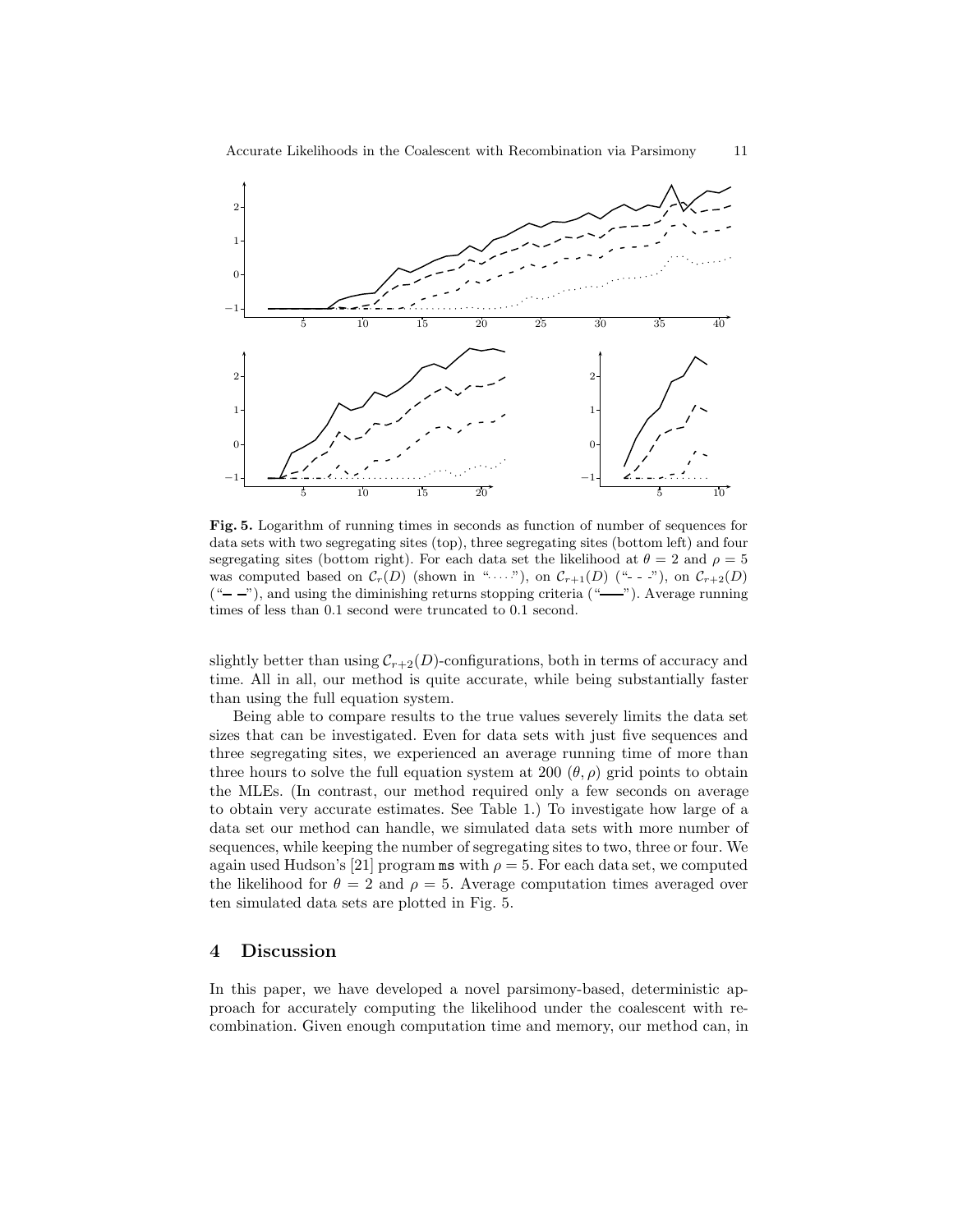

Fig. 5. Logarithm of running times in seconds as function of number of sequences for data sets with two segregating sites (top), three segregating sites (bottom left) and four segregating sites (bottom right). For each data set the likelihood at  $\theta = 2$  and  $\rho = 5$ was computed based on  $\mathcal{C}_r(D)$  (shown in "..."), on  $\mathcal{C}_{r+1}(D)$  ("--"), on  $\mathcal{C}_{r+2}(D)$  $(* - -")$ , and using the diminishing returns stopping criteria  $(* -")$ . Average running times of less than 0.1 second were truncated to 0.1 second.

slightly better than using  $C_{r+2}(D)$ -configurations, both in terms of accuracy and time. All in all, our method is quite accurate, while being substantially faster than using the full equation system.

Being able to compare results to the true values severely limits the data set sizes that can be investigated. Even for data sets with just five sequences and three segregating sites, we experienced an average running time of more than three hours to solve the full equation system at 200  $(\theta, \rho)$  grid points to obtain the MLEs. (In contrast, our method required only a few seconds on average to obtain very accurate estimates. See Table 1.) To investigate how large of a data set our method can handle, we simulated data sets with more number of sequences, while keeping the number of segregating sites to two, three or four. We again used Hudson's [21] program ms with  $\rho = 5$ . For each data set, we computed the likelihood for  $\theta = 2$  and  $\rho = 5$ . Average computation times averaged over ten simulated data sets are plotted in Fig. 5.

## 4 Discussion

In this paper, we have developed a novel parsimony-based, deterministic approach for accurately computing the likelihood under the coalescent with recombination. Given enough computation time and memory, our method can, in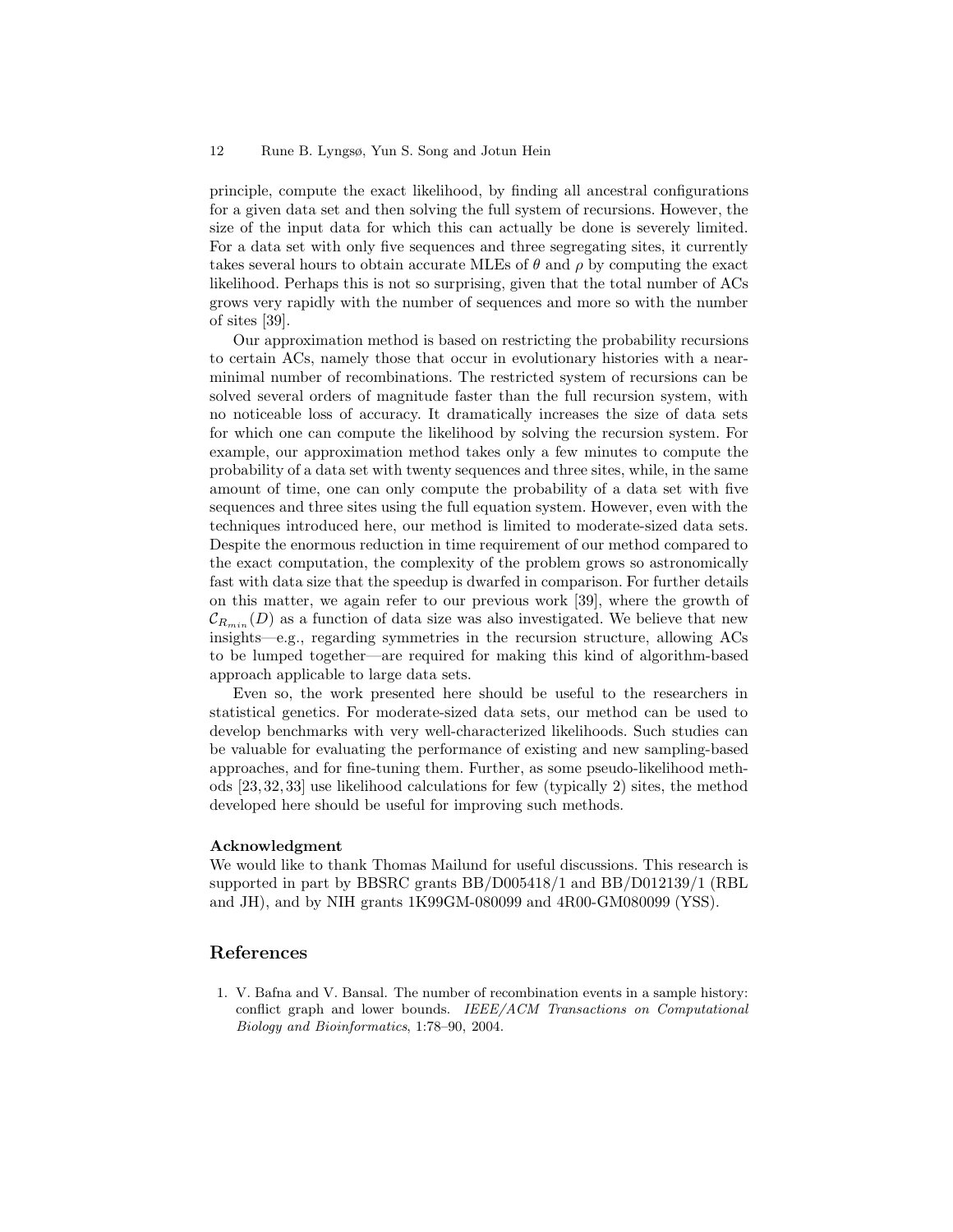#### 12 Rune B. Lyngsø, Yun S. Song and Jotun Hein

principle, compute the exact likelihood, by finding all ancestral configurations for a given data set and then solving the full system of recursions. However, the size of the input data for which this can actually be done is severely limited. For a data set with only five sequences and three segregating sites, it currently takes several hours to obtain accurate MLEs of  $\theta$  and  $\rho$  by computing the exact likelihood. Perhaps this is not so surprising, given that the total number of ACs grows very rapidly with the number of sequences and more so with the number of sites [39].

Our approximation method is based on restricting the probability recursions to certain ACs, namely those that occur in evolutionary histories with a nearminimal number of recombinations. The restricted system of recursions can be solved several orders of magnitude faster than the full recursion system, with no noticeable loss of accuracy. It dramatically increases the size of data sets for which one can compute the likelihood by solving the recursion system. For example, our approximation method takes only a few minutes to compute the probability of a data set with twenty sequences and three sites, while, in the same amount of time, one can only compute the probability of a data set with five sequences and three sites using the full equation system. However, even with the techniques introduced here, our method is limited to moderate-sized data sets. Despite the enormous reduction in time requirement of our method compared to the exact computation, the complexity of the problem grows so astronomically fast with data size that the speedup is dwarfed in comparison. For further details on this matter, we again refer to our previous work [39], where the growth of  $\mathcal{C}_{R_{\text{min}}}(D)$  as a function of data size was also investigated. We believe that new insights—e.g., regarding symmetries in the recursion structure, allowing ACs to be lumped together—are required for making this kind of algorithm-based approach applicable to large data sets.

Even so, the work presented here should be useful to the researchers in statistical genetics. For moderate-sized data sets, our method can be used to develop benchmarks with very well-characterized likelihoods. Such studies can be valuable for evaluating the performance of existing and new sampling-based approaches, and for fine-tuning them. Further, as some pseudo-likelihood methods [23, 32, 33] use likelihood calculations for few (typically 2) sites, the method developed here should be useful for improving such methods.

## Acknowledgment

We would like to thank Thomas Mailund for useful discussions. This research is supported in part by BBSRC grants BB/D005418/1 and BB/D012139/1 (RBL and JH), and by NIH grants 1K99GM-080099 and 4R00-GM080099 (YSS).

# References

1. V. Bafna and V. Bansal. The number of recombination events in a sample history: conflict graph and lower bounds. IEEE/ACM Transactions on Computational Biology and Bioinformatics, 1:78–90, 2004.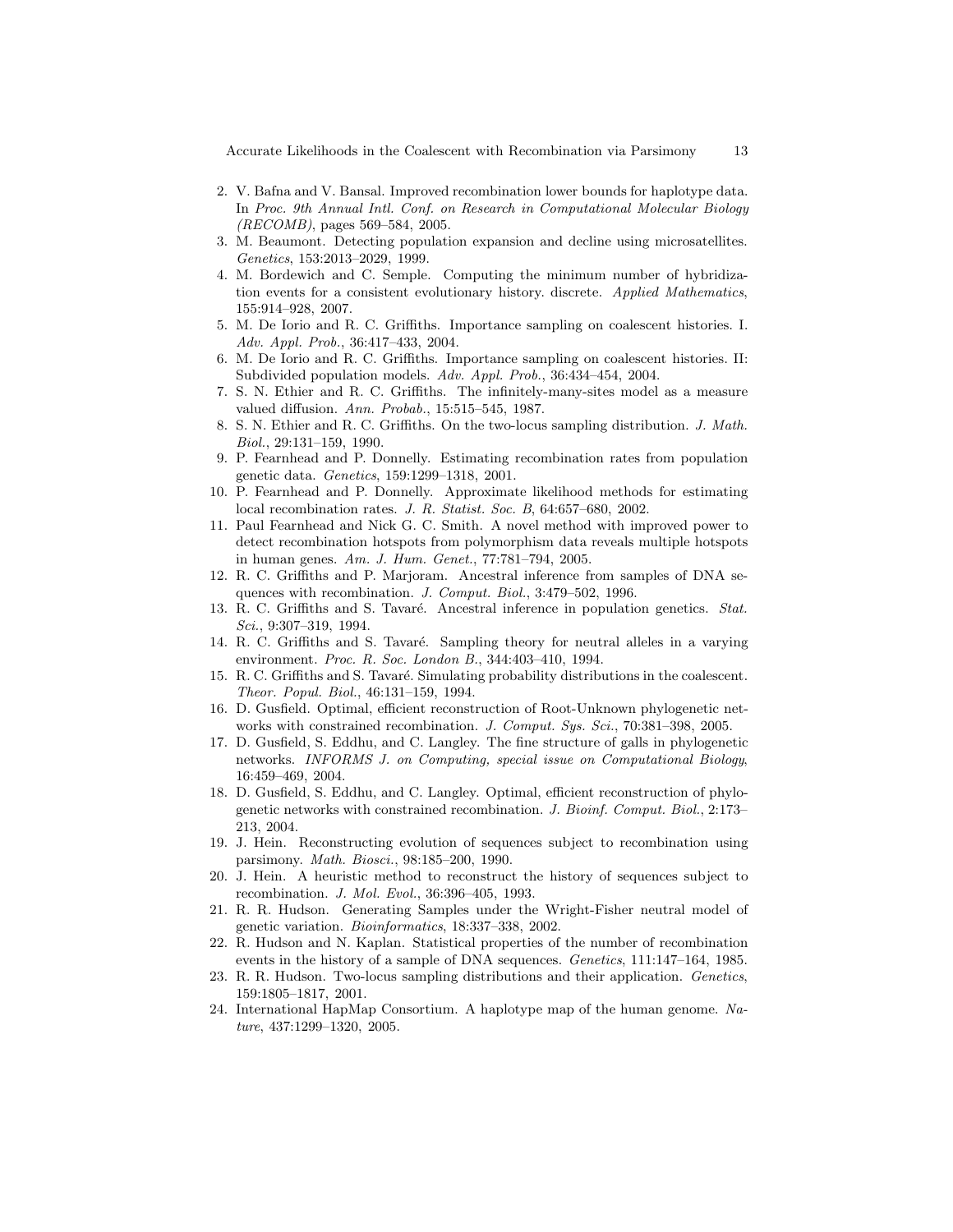Accurate Likelihoods in the Coalescent with Recombination via Parsimony 13

- 2. V. Bafna and V. Bansal. Improved recombination lower bounds for haplotype data. In Proc. 9th Annual Intl. Conf. on Research in Computational Molecular Biology (RECOMB), pages 569–584, 2005.
- 3. M. Beaumont. Detecting population expansion and decline using microsatellites. Genetics, 153:2013–2029, 1999.
- 4. M. Bordewich and C. Semple. Computing the minimum number of hybridization events for a consistent evolutionary history. discrete. Applied Mathematics, 155:914–928, 2007.
- 5. M. De Iorio and R. C. Griffiths. Importance sampling on coalescent histories. I. Adv. Appl. Prob., 36:417–433, 2004.
- 6. M. De Iorio and R. C. Griffiths. Importance sampling on coalescent histories. II: Subdivided population models. Adv. Appl. Prob., 36:434–454, 2004.
- 7. S. N. Ethier and R. C. Griffiths. The infinitely-many-sites model as a measure valued diffusion. Ann. Probab., 15:515–545, 1987.
- 8. S. N. Ethier and R. C. Griffiths. On the two-locus sampling distribution. J. Math. Biol., 29:131–159, 1990.
- 9. P. Fearnhead and P. Donnelly. Estimating recombination rates from population genetic data. Genetics, 159:1299–1318, 2001.
- 10. P. Fearnhead and P. Donnelly. Approximate likelihood methods for estimating local recombination rates. J. R. Statist. Soc. B, 64:657–680, 2002.
- 11. Paul Fearnhead and Nick G. C. Smith. A novel method with improved power to detect recombination hotspots from polymorphism data reveals multiple hotspots in human genes. Am. J. Hum. Genet., 77:781–794, 2005.
- 12. R. C. Griffiths and P. Marjoram. Ancestral inference from samples of DNA sequences with recombination. J. Comput. Biol., 3:479–502, 1996.
- 13. R. C. Griffiths and S. Tavaré. Ancestral inference in population genetics. Stat. Sci., 9:307–319, 1994.
- 14. R. C. Griffiths and S. Tavaré. Sampling theory for neutral alleles in a varying environment. Proc. R. Soc. London B., 344:403–410, 1994.
- 15. R. C. Griffiths and S. Tavaré. Simulating probability distributions in the coalescent. Theor. Popul. Biol., 46:131–159, 1994.
- 16. D. Gusfield. Optimal, efficient reconstruction of Root-Unknown phylogenetic networks with constrained recombination. J. Comput. Sys. Sci., 70:381-398, 2005.
- 17. D. Gusfield, S. Eddhu, and C. Langley. The fine structure of galls in phylogenetic networks. INFORMS J. on Computing, special issue on Computational Biology, 16:459–469, 2004.
- 18. D. Gusfield, S. Eddhu, and C. Langley. Optimal, efficient reconstruction of phylogenetic networks with constrained recombination. J. Bioinf. Comput. Biol., 2:173– 213, 2004.
- 19. J. Hein. Reconstructing evolution of sequences subject to recombination using parsimony. Math. Biosci., 98:185–200, 1990.
- 20. J. Hein. A heuristic method to reconstruct the history of sequences subject to recombination. J. Mol. Evol., 36:396–405, 1993.
- 21. R. R. Hudson. Generating Samples under the Wright-Fisher neutral model of genetic variation. Bioinformatics, 18:337–338, 2002.
- 22. R. Hudson and N. Kaplan. Statistical properties of the number of recombination events in the history of a sample of DNA sequences. Genetics, 111:147–164, 1985.
- 23. R. R. Hudson. Two-locus sampling distributions and their application. Genetics, 159:1805–1817, 2001.
- 24. International HapMap Consortium. A haplotype map of the human genome. Nature, 437:1299–1320, 2005.